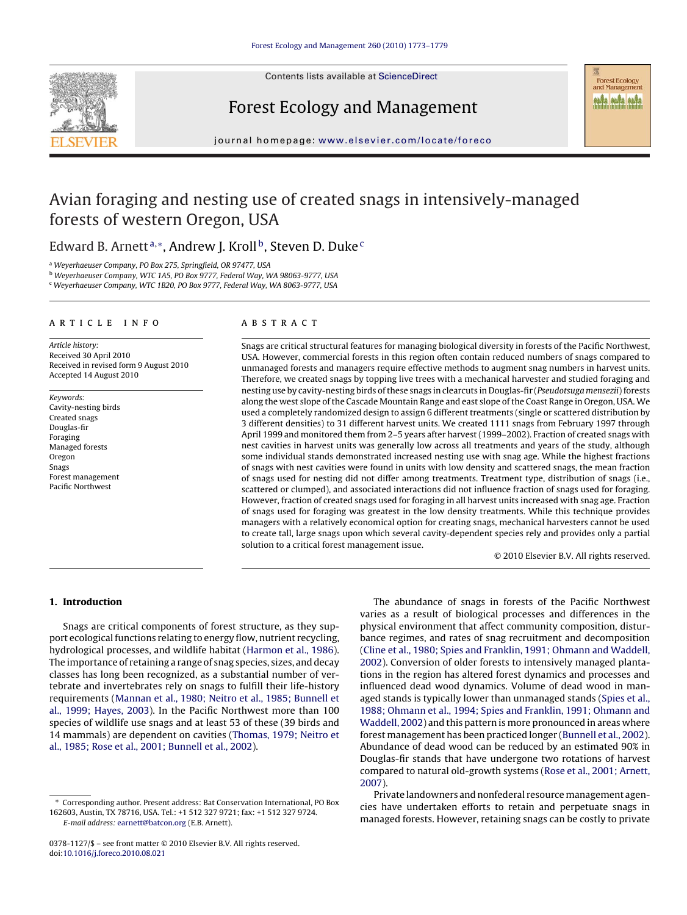

Contents lists available at [ScienceDirect](http://www.sciencedirect.com/science/journal/03781127)

## Forest Ecology and Management

journal homepage: [www.elsevier.com/locate/foreco](http://www.elsevier.com/locate/foreco)

## Avian foraging and nesting use of created snags in intensively-managed forests of western Oregon, USA

# Edward B. Arnett<sup>a,∗</sup>, Andrew J. Kroll<sup>b</sup>, Steven D. Duke<sup>c</sup>

<sup>a</sup> Weyerhaeuser Company, PO Box 275, Springfield, OR 97477, USA

<sup>b</sup> Weyerhaeuser Company, WTC 1A5, PO Box 9777, Federal Way, WA 98063-9777, USA

<sup>c</sup> Weyerhaeuser Company, WTC 1B20, PO Box 9777, Federal Way, WA 8063-9777, USA

#### article info

Article history: Received 30 April 2010 Received in revised form 9 August 2010 Accepted 14 August 2010

Keywords: Cavity-nesting birds Created snags Douglas-fir Foraging Managed forests Oregon Snags Forest management Pacific Northwest

## ABSTRACT

Snags are critical structural features for managing biological diversity in forests of the Pacific Northwest, USA. However, commercial forests in this region often contain reduced numbers of snags compared to unmanaged forests and managers require effective methods to augment snag numbers in harvest units. Therefore, we created snags by topping live trees with a mechanical harvester and studied foraging and nesting use by cavity-nesting birds of these snags in clearcuts in Douglas-fir (Pseudotsuga mensezii) forests along the west slope of the Cascade Mountain Range and east slope of the Coast Range in Oregon, USA. We used a completely randomized design to assign 6 different treatments (single or scattered distribution by 3 different densities) to 31 different harvest units. We created 1111 snags from February 1997 through April 1999 and monitored them from 2–5 years after harvest (1999–2002). Fraction of created snags with nest cavities in harvest units was generally low across all treatments and years of the study, although some individual stands demonstrated increased nesting use with snag age. While the highest fractions of snags with nest cavities were found in units with low density and scattered snags, the mean fraction of snags used for nesting did not differ among treatments. Treatment type, distribution of snags (i.e., scattered or clumped), and associated interactions did not influence fraction of snags used for foraging. However, fraction of created snags used for foraging in all harvest units increased with snag age. Fraction of snags used for foraging was greatest in the low density treatments. While this technique provides managers with a relatively economical option for creating snags, mechanical harvesters cannot be used to create tall, large snags upon which several cavity-dependent species rely and provides only a partial solution to a critical forest management issue.

© 2010 Elsevier B.V. All rights reserved.

## **1. Introduction**

Snags are critical components of forest structure, as they support ecological functions relating to energy flow, nutrient recycling, hydrological processes, and wildlife habitat ([Harmon et al., 1986\).](#page-6-0) The importance of retaining a range of snag species, sizes, and decay classes has long been recognized, as a substantial number of vertebrate and invertebrates rely on snags to fulfill their life-history requirements ([Mannan et al., 1980; Neitro et al., 1985; Bunnell et](#page-6-0) [al., 1999; Hayes, 2003\).](#page-6-0) In the Pacific Northwest more than 100 species of wildlife use snags and at least 53 of these (39 birds and 14 mammals) are dependent on cavities ([Thomas, 1979; Neitro et](#page-6-0) [al., 1985; Rose et al., 2001; Bunnell et al., 2002\).](#page-6-0)

The abundance of snags in forests of the Pacific Northwest varies as a result of biological processes and differences in the physical environment that affect community composition, disturbance regimes, and rates of snag recruitment and decomposition [\(Cline et al., 1980; Spies and Franklin, 1991; Ohmann and Waddell,](#page-6-0) [2002\).](#page-6-0) Conversion of older forests to intensively managed plantations in the region has altered forest dynamics and processes and influenced dead wood dynamics. Volume of dead wood in managed stands is typically lower than unmanaged stands ([Spies et al.,](#page-6-0) [1988; Ohmann et al., 1994; Spies and Franklin, 1991; Ohmann and](#page-6-0) [Waddell, 2002\) a](#page-6-0)nd this pattern is more pronounced in areas where forest management has been practiced longer ([Bunnell et al., 2002\).](#page-6-0) Abundance of dead wood can be reduced by an estimated 90% in Douglas-fir stands that have undergone two rotations of harvest compared to natural old-growth systems [\(Rose et al., 2001; Arnett,](#page-6-0) [2007\).](#page-6-0)

Private landowners and nonfederal resourcemanagement agencies have undertaken efforts to retain and perpetuate snags in managed forests. However, retaining snags can be costly to private

<sup>∗</sup> Corresponding author. Present address: Bat Conservation International, PO Box 162603, Austin, TX 78716, USA. Tel.: +1 512 327 9721; fax: +1 512 327 9724. E-mail address: [earnett@batcon.org](mailto:earnett@batcon.org) (E.B. Arnett).

<sup>0378-1127/\$ –</sup> see front matter © 2010 Elsevier B.V. All rights reserved. doi:[10.1016/j.foreco.2010.08.021](dx.doi.org/10.1016/j.foreco.2010.08.021)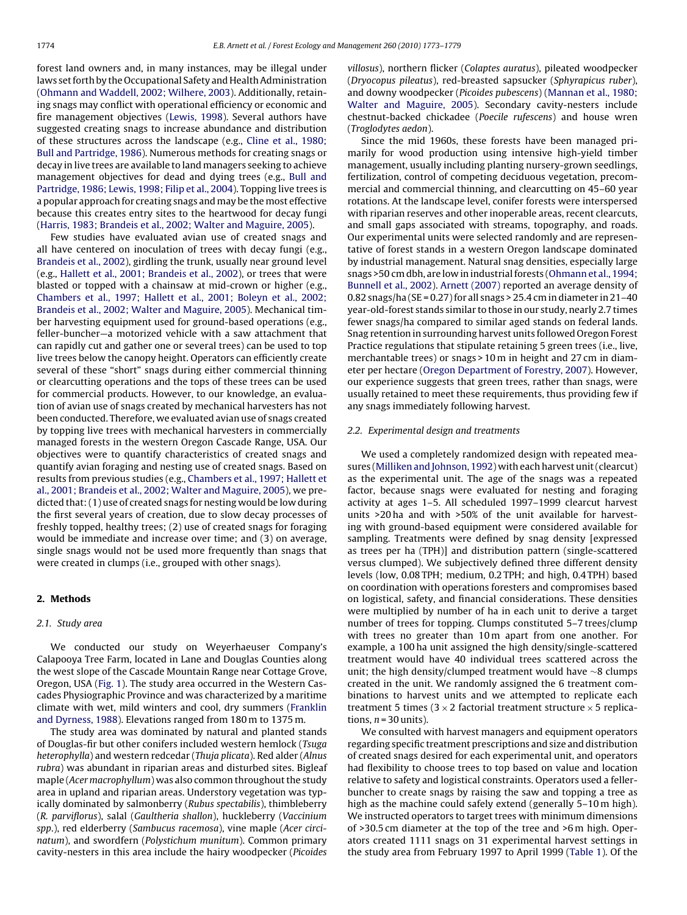forest land owners and, in many instances, may be illegal under laws set forth by the Occupational Safety and Health Administration ([Ohmann and Waddell, 2002; Wilhere, 2003\).](#page-6-0) Additionally, retaining snags may conflict with operational efficiency or economic and fire management objectives ([Lewis, 1998\).](#page-6-0) Several authors have suggested creating snags to increase abundance and distribution of these structures across the landscape (e.g., [Cline et al., 1980;](#page-6-0) [Bull and Partridge, 1986\).](#page-6-0) Numerous methods for creating snags or decay in live trees are available to land managers seeking to achieve management objectives for dead and dying trees (e.g., [Bull and](#page-6-0) [Partridge, 1986; Lewis, 1998; Filip et al., 2004\).](#page-6-0) Topping live trees is a popular approach for creating snags and may be the most effective because this creates entry sites to the heartwood for decay fungi ([Harris, 1983; Brandeis et al., 2002; Walter and Maguire, 2005\).](#page-6-0)

Few studies have evaluated avian use of created snags and all have centered on inoculation of trees with decay fungi (e.g., [Brandeis et al., 2002\),](#page-6-0) girdling the trunk, usually near ground level (e.g., [Hallett et al., 2001; Brandeis et al., 2002\),](#page-6-0) or trees that were blasted or topped with a chainsaw at mid-crown or higher (e.g., [Chambers et al., 1997; Hallett et al., 2001; Boleyn et al., 2002;](#page-6-0) [Brandeis et al., 2002; Walter and Maguire, 2005\).](#page-6-0) Mechanical timber harvesting equipment used for ground-based operations (e.g., feller-buncher—a motorized vehicle with a saw attachment that can rapidly cut and gather one or several trees) can be used to top live trees below the canopy height. Operators can efficiently create several of these "short" snags during either commercial thinning or clearcutting operations and the tops of these trees can be used for commercial products. However, to our knowledge, an evaluation of avian use of snags created by mechanical harvesters has not been conducted. Therefore, we evaluated avian use of snags created by topping live trees with mechanical harvesters in commercially managed forests in the western Oregon Cascade Range, USA. Our objectives were to quantify characteristics of created snags and quantify avian foraging and nesting use of created snags. Based on results from previous studies (e.g., [Chambers et al., 1997; Hallett et](#page-6-0) [al., 2001; Brandeis et al., 2002; Walter and Maguire, 2005\),](#page-6-0) we predicted that: (1) use of created snags for nesting would be low during the first several years of creation, due to slow decay processes of freshly topped, healthy trees; (2) use of created snags for foraging would be immediate and increase over time; and (3) on average, single snags would not be used more frequently than snags that were created in clumps (i.e., grouped with other snags).

## **2. Methods**

## 2.1. Study area

We conducted our study on Weyerhaeuser Company's Calapooya Tree Farm, located in Lane and Douglas Counties along the west slope of the Cascade Mountain Range near Cottage Grove, Oregon, USA [\(Fig. 1\).](#page-2-0) The study area occurred in the Western Cascades Physiographic Province and was characterized by a maritime climate with wet, mild winters and cool, dry summers ([Franklin](#page-6-0) [and Dyrness, 1988\).](#page-6-0) Elevations ranged from 180 m to 1375 m.

The study area was dominated by natural and planted stands of Douglas-fir but other conifers included western hemlock (Tsuga heterophylla) and western redcedar (Thuja plicata). Red alder (Alnus rubra) was abundant in riparian areas and disturbed sites. Bigleaf maple (Acer macrophyllum) was also common throughout the study area in upland and riparian areas. Understory vegetation was typically dominated by salmonberry (Rubus spectabilis), thimbleberry (R. parviflorus), salal (Gaultheria shallon), huckleberry (Vaccinium spp.), red elderberry (Sambucus racemosa), vine maple (Acer circinatum), and swordfern (Polystichum munitum). Common primary cavity-nesters in this area include the hairy woodpecker (Picoides

villosus), northern flicker (Colaptes auratus), pileated woodpecker (Dryocopus pileatus), red-breasted sapsucker (Sphyrapicus ruber), and downy woodpecker (Picoides pubescens) [\(Mannan et al., 1980;](#page-6-0) [Walter and Maguire, 2005\).](#page-6-0) Secondary cavity-nesters include chestnut-backed chickadee (Poecile rufescens) and house wren (Troglodytes aedon).

Since the mid 1960s, these forests have been managed primarily for wood production using intensive high-yield timber management, usually including planting nursery-grown seedlings, fertilization, control of competing deciduous vegetation, precommercial and commercial thinning, and clearcutting on 45–60 year rotations. At the landscape level, conifer forests were interspersed with riparian reserves and other inoperable areas, recent clearcuts, and small gaps associated with streams, topography, and roads. Our experimental units were selected randomly and are representative of forest stands in a western Oregon landscape dominated by industrial management. Natural snag densities, especially large snags >50 cm dbh, are low in industrial forests [\(Ohmann et al., 1994;](#page-6-0) [Bunnell et al., 2002\).](#page-6-0) [Arnett \(2007\)](#page-6-0) reported an average density of 0.82 snags/ha (SE = 0.27) for all snags > 25.4 cm in diameter in 21–40 year-old-forest stands similar to those in our study, nearly 2.7 times fewer snags/ha compared to similar aged stands on federal lands. Snag retention in surrounding harvest units followed Oregon Forest Practice regulations that stipulate retaining 5 green trees (i.e., live, merchantable trees) or snags > 10 m in height and 27 cm in diameter per hectare [\(Oregon Department of Forestry, 2007\).](#page-6-0) However, our experience suggests that green trees, rather than snags, were usually retained to meet these requirements, thus providing few if any snags immediately following harvest.

#### 2.2. Experimental design and treatments

We used a completely randomized design with repeated measures ([Milliken and Johnson, 1992\) w](#page-6-0)ith each harvest unit (clearcut) as the experimental unit. The age of the snags was a repeated factor, because snags were evaluated for nesting and foraging activity at ages 1–5. All scheduled 1997–1999 clearcut harvest units >20 ha and with >50% of the unit available for harvesting with ground-based equipment were considered available for sampling. Treatments were defined by snag density [expressed as trees per ha (TPH)] and distribution pattern (single-scattered versus clumped). We subjectively defined three different density levels (low, 0.08 TPH; medium, 0.2 TPH; and high, 0.4 TPH) based on coordination with operations foresters and compromises based on logistical, safety, and financial considerations. These densities were multiplied by number of ha in each unit to derive a target number of trees for topping. Clumps constituted 5–7 trees/clump with trees no greater than 10 m apart from one another. For example, a 100 ha unit assigned the high density/single-scattered treatment would have 40 individual trees scattered across the unit; the high density/clumped treatment would have ∼8 clumps created in the unit. We randomly assigned the 6 treatment combinations to harvest units and we attempted to replicate each treatment 5 times ( $3 \times 2$  factorial treatment structure  $\times 5$  replications,  $n = 30$  units).

We consulted with harvest managers and equipment operators regarding specific treatment prescriptions and size and distribution of created snags desired for each experimental unit, and operators had flexibility to choose trees to top based on value and location relative to safety and logistical constraints. Operators used a fellerbuncher to create snags by raising the saw and topping a tree as high as the machine could safely extend (generally 5–10 m high). We instructed operators to target trees with minimum dimensions of >30.5 cm diameter at the top of the tree and >6 m high. Operators created 1111 snags on 31 experimental harvest settings in the study area from February 1997 to April 1999 [\(Table 1\).](#page-3-0) Of the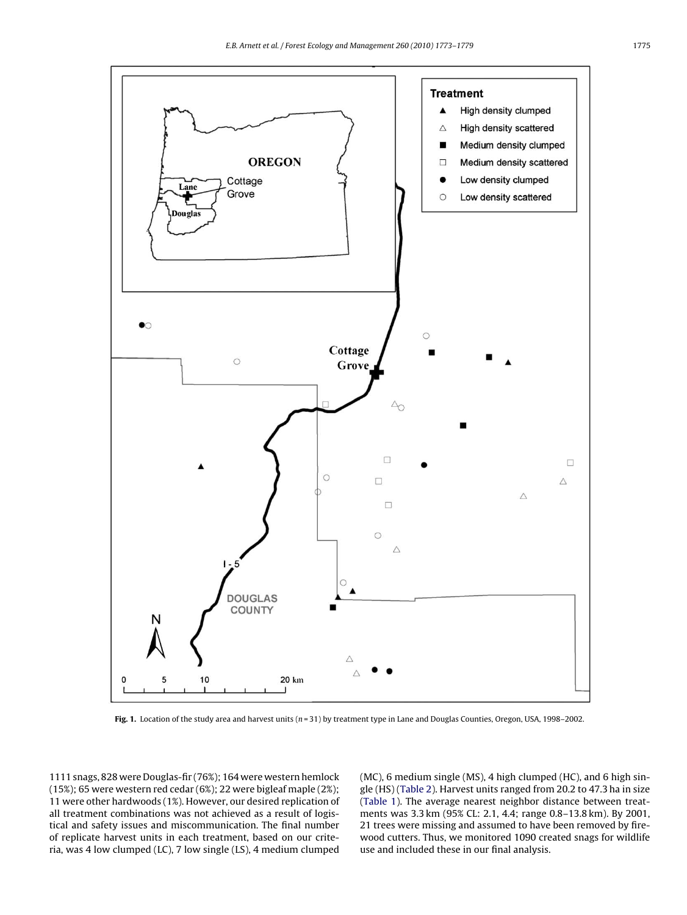<span id="page-2-0"></span>

Fig. 1. Location of the study area and harvest units (n=31) by treatment type in Lane and Douglas Counties, Oregon, USA, 1998-2002.

1111 snags, 828 were Douglas-fir (76%); 164 were western hemlock (15%); 65 were western red cedar (6%); 22 were bigleaf maple (2%); 11 were other hardwoods (1%). However, our desired replication of all treatment combinations was not achieved as a result of logistical and safety issues and miscommunication. The final number of replicate harvest units in each treatment, based on our criteria, was 4 low clumped (LC), 7 low single (LS), 4 medium clumped (MC), 6 medium single (MS), 4 high clumped (HC), and 6 high single (HS) [\(Table 2\).](#page-3-0) Harvest units ranged from 20.2 to 47.3 ha in size [\(Table 1\).](#page-3-0) The average nearest neighbor distance between treatments was 3.3 km (95% CL: 2.1, 4.4; range 0.8–13.8 km). By 2001, 21 trees were missing and assumed to have been removed by firewood cutters. Thus, we monitored 1090 created snags for wildlife use and included these in our final analysis.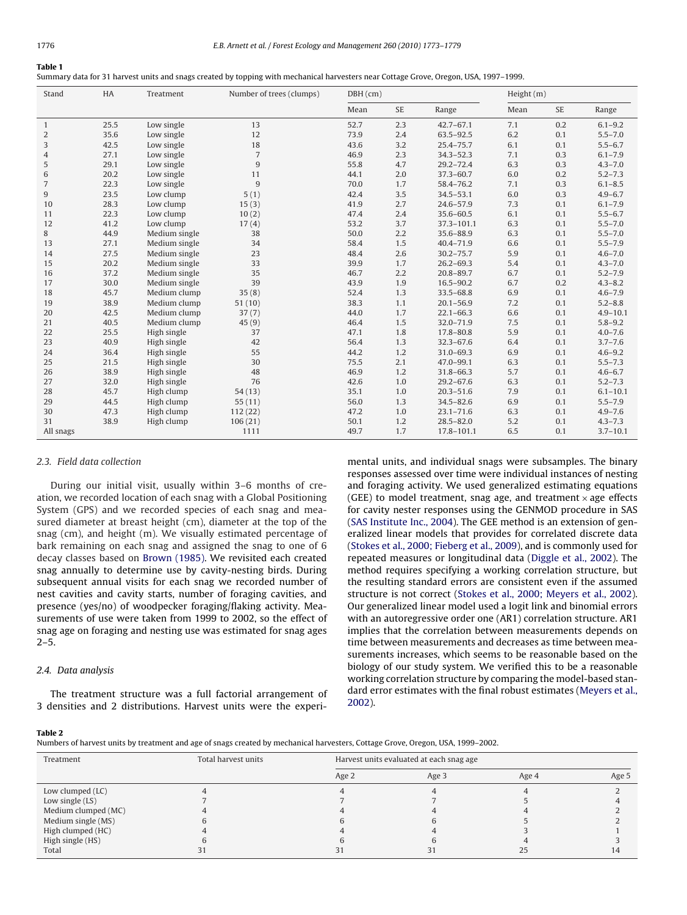<span id="page-3-0"></span>

| ۰. |  |
|----|--|
|    |  |

Summary data for 31 harvest units and snags created by topping with mechanical harvesters near Cottage Grove, Oregon, USA, 1997–1999.

| Stand          | HA   | Treatment     | Number of trees (clumps) | DBH (cm) |           | Height (m)     |      |           |              |
|----------------|------|---------------|--------------------------|----------|-----------|----------------|------|-----------|--------------|
|                |      |               |                          | Mean     | <b>SE</b> | Range          | Mean | <b>SE</b> | Range        |
| 1              | 25.5 | Low single    | 13                       | 52.7     | 2.3       | $42.7 - 67.1$  | 7.1  | 0.2       | $6.1 - 9.2$  |
| $\overline{2}$ | 35.6 | Low single    | 12                       | 73.9     | 2.4       | $63.5 - 92.5$  | 6.2  | 0.1       | $5.5 - 7.0$  |
| 3              | 42.5 | Low single    | 18                       | 43.6     | 3.2       | $25.4 - 75.7$  | 6.1  | 0.1       | $5.5 - 6.7$  |
| 4              | 27.1 | Low single    | $\overline{7}$           | 46.9     | 2.3       | $34.3 - 52.3$  | 7.1  | 0.3       | $6.1 - 7.9$  |
| 5              | 29.1 | Low single    | 9                        | 55.8     | 4.7       | $29.2 - 72.4$  | 6.3  | 0.3       | $4.3 - 7.0$  |
| 6              | 20.2 | Low single    | 11                       | 44.1     | 2.0       | $37.3 - 60.7$  | 6.0  | 0.2       | $5.2 - 7.3$  |
| 7              | 22.3 | Low single    | 9                        | 70.0     | 1.7       | 58.4-76.2      | 7.1  | 0.3       | $6.1 - 8.5$  |
| 9              | 23.5 | Low clump     | 5(1)                     | 42.4     | 3.5       | $34.5 - 53.1$  | 6.0  | 0.3       | $4.9 - 6.7$  |
| 10             | 28.3 | Low clump     | 15(3)                    | 41.9     | 2.7       | $24.6 - 57.9$  | 7.3  | 0.1       | $6.1 - 7.9$  |
| 11             | 22.3 | Low clump     | 10(2)                    | 47.4     | 2.4       | $35.6 - 60.5$  | 6.1  | 0.1       | $5.5 - 6.7$  |
| 12             | 41.2 | Low clump     | 17(4)                    | 53.2     | 3.7       | $37.3 - 101.1$ | 6.3  | 0.1       | $5.5 - 7.0$  |
| 8              | 44.9 | Medium single | 38                       | 50.0     | 2.2       | 35.6-88.9      | 6.3  | 0.1       | $5.5 - 7.0$  |
| 13             | 27.1 | Medium single | 34                       | 58.4     | 1.5       | $40.4 - 71.9$  | 6.6  | 0.1       | $5.5 - 7.9$  |
| 14             | 27.5 | Medium single | 23                       | 48.4     | 2.6       | $30.2 - 75.7$  | 5.9  | 0.1       | $4.6 - 7.0$  |
| 15             | 20.2 | Medium single | 33                       | 39.9     | 1.7       | $26.2 - 69.3$  | 5.4  | 0.1       | $4.3 - 7.0$  |
| 16             | 37.2 | Medium single | 35                       | 46.7     | 2.2       | $20.8 - 89.7$  | 6.7  | 0.1       | $5.2 - 7.9$  |
| 17             | 30.0 | Medium single | 39                       | 43.9     | 1.9       | $16.5 - 90.2$  | 6.7  | 0.2       | $4.3 - 8.2$  |
| 18             | 45.7 | Medium clump  | 35(8)                    | 52.4     | 1.3       | $33.5 - 68.8$  | 6.9  | 0.1       | $4.6 - 7.9$  |
| 19             | 38.9 | Medium clump  | 51(10)                   | 38.3     | 1.1       | $20.1 - 56.9$  | 7.2  | 0.1       | $5.2 - 8.8$  |
| 20             | 42.5 | Medium clump  | 37(7)                    | 44.0     | 1.7       | $22.1 - 66.3$  | 6.6  | 0.1       | $4.9 - 10.1$ |
| 21             | 40.5 | Medium clump  | 45(9)                    | 46.4     | 1.5       | $32.0 - 71.9$  | 7.5  | 0.1       | $5.8 - 9.2$  |
| 22             | 25.5 | High single   | 37                       | 47.1     | 1.8       | 17.8-80.8      | 5.9  | 0.1       | $4.0 - 7.6$  |
| 23             | 40.9 | High single   | 42                       | 56.4     | 1.3       | $32.3 - 67.6$  | 6.4  | 0.1       | $3.7 - 7.6$  |
| 24             | 36.4 | High single   | 55                       | 44.2     | 1.2       | $31.0 - 69.3$  | 6.9  | 0.1       | $4.6 - 9.2$  |
| 25             | 21.5 | High single   | 30                       | 75.5     | 2.1       | $47.0 - 99.1$  | 6.3  | 0.1       | $5.5 - 7.3$  |
| 26             | 38.9 | High single   | 48                       | 46.9     | 1.2       | $31.8 - 66.3$  | 5.7  | 0.1       | $4.6 - 6.7$  |
| 27             | 32.0 | High single   | 76                       | 42.6     | 1.0       | $29.2 - 67.6$  | 6.3  | 0.1       | $5.2 - 7.3$  |
| 28             | 45.7 | High clump    | 54(13)                   | 35.1     | 1.0       | $20.3 - 51.6$  | 7.9  | 0.1       | $6.1 - 10.1$ |
| 29             | 44.5 | High clump    | 55(11)                   | 56.0     | 1.3       | $34.5 - 82.6$  | 6.9  | 0.1       | $5.5 - 7.9$  |
| 30             | 47.3 | High clump    | 112(22)                  | 47.2     | 1.0       | $23.1 - 71.6$  | 6.3  | 0.1       | $4.9 - 7.6$  |
| 31             | 38.9 | High clump    | 106(21)                  | 50.1     | 1.2       | $28.5 - 82.0$  | 5.2  | 0.1       | $4.3 - 7.3$  |
| All snags      |      |               | 1111                     | 49.7     | 1.7       | $17.8 - 101.1$ | 6.5  | 0.1       | $3.7 - 10.1$ |

## 2.3. Field data collection

During our initial visit, usually within 3–6 months of creation, we recorded location of each snag with a Global Positioning System (GPS) and we recorded species of each snag and measured diameter at breast height (cm), diameter at the top of the snag (cm), and height (m). We visually estimated percentage of bark remaining on each snag and assigned the snag to one of 6 decay classes based on [Brown \(1985\).](#page-6-0) We revisited each created snag annually to determine use by cavity-nesting birds. During subsequent annual visits for each snag we recorded number of nest cavities and cavity starts, number of foraging cavities, and presence (yes/no) of woodpecker foraging/flaking activity. Measurements of use were taken from 1999 to 2002, so the effect of snag age on foraging and nesting use was estimated for snag ages 2–5.

## 2.4. Data analysis

The treatment structure was a full factorial arrangement of 3 densities and 2 distributions. Harvest units were the experi-

mental units, and individual snags were subsamples. The binary responses assessed over time were individual instances of nesting and foraging activity. We used generalized estimating equations (GEE) to model treatment, snag age, and treatment  $\times$  age effects for cavity nester responses using the GENMOD procedure in SAS [\(SAS Institute Inc., 2004\).](#page-6-0) The GEE method is an extension of generalized linear models that provides for correlated discrete data [\(Stokes et al., 2000; Fieberg et al., 2009\),](#page-6-0) and is commonly used for repeated measures or longitudinal data ([Diggle et al., 2002\).](#page-6-0) The method requires specifying a working correlation structure, but the resulting standard errors are consistent even if the assumed structure is not correct [\(Stokes et al., 2000; Meyers et al., 2002\).](#page-6-0) Our generalized linear model used a logit link and binomial errors with an autoregressive order one (AR1) correlation structure. AR1 implies that the correlation between measurements depends on time between measurements and decreases as time between measurements increases, which seems to be reasonable based on the biology of our study system. We verified this to be a reasonable working correlation structure by comparing the model-based standard error estimates with the final robust estimates ([Meyers et al.,](#page-6-0) [2002\).](#page-6-0)

#### **Table 2**

Numbers of harvest units by treatment and age of snags created by mechanical harvesters, Cottage Grove, Oregon, USA, 1999–2002.

| Treatment           | Total harvest units |       | Harvest units evaluated at each snag age |       |       |  |
|---------------------|---------------------|-------|------------------------------------------|-------|-------|--|
|                     |                     | Age 2 | Age 3                                    | Age 4 | Age 5 |  |
| Low clumped (LC)    |                     |       |                                          |       |       |  |
| Low single $(LS)$   |                     |       |                                          |       |       |  |
| Medium clumped (MC) |                     |       |                                          |       |       |  |
| Medium single (MS)  |                     |       |                                          |       |       |  |
| High clumped (HC)   |                     |       |                                          |       |       |  |
| High single (HS)    |                     |       |                                          |       |       |  |
| Total               | 31                  |       |                                          |       | 14    |  |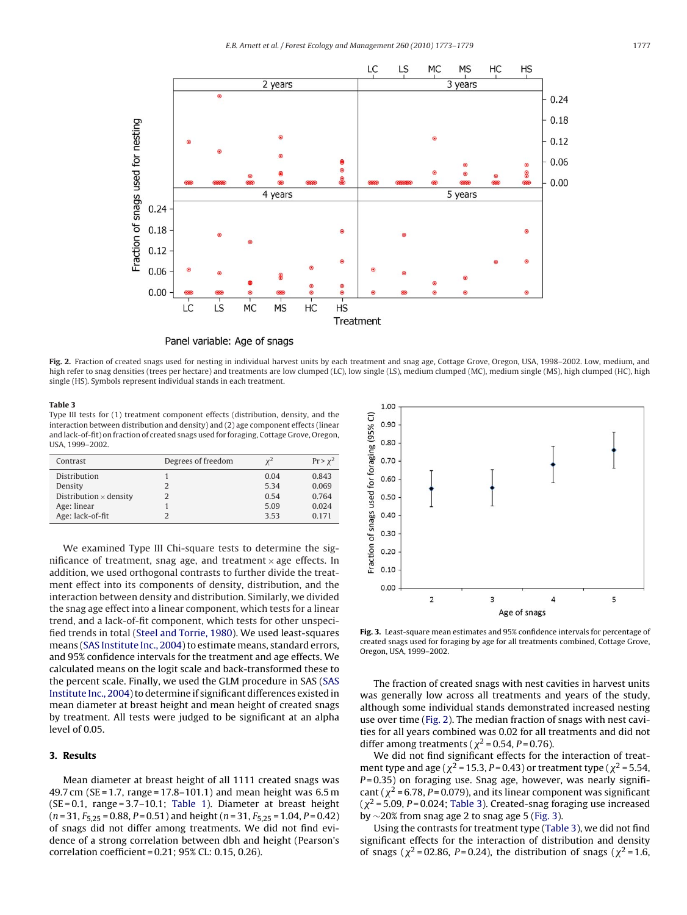

Fig. 2. Fraction of created snags used for nesting in individual harvest units by each treatment and snag age, Cottage Grove, Oregon, USA, 1998-2002. Low, medium, and high refer to snag densities (trees per hectare) and treatments are low clumped (LC), low single (LS), medium clumped (MC), medium single (MS), high clumped (HC), high single (HS). Symbols represent individual stands in each treatment.

#### **Table 3**

Type III tests for (1) treatment component effects (distribution, density, and the interaction between distribution and density) and (2) age component effects (linear and lack-of-fit) on fraction of created snags used for foraging, Cottage Grove, Oregon, USA, 1999–2002.

| Contrast                      | Degrees of freedom | $\gamma^2$ | $Pr > \chi^2$ |
|-------------------------------|--------------------|------------|---------------|
| Distribution                  |                    | 0.04       | 0.843         |
| Density                       |                    | 5.34       | 0.069         |
| Distribution $\times$ density |                    | 0.54       | 0.764         |
| Age: linear                   |                    | 5.09       | 0.024         |
| Age: lack-of-fit              |                    | 3.53       | 0.171         |

We examined Type III Chi-square tests to determine the significance of treatment, snag age, and treatment  $\times$  age effects. In addition, we used orthogonal contrasts to further divide the treatment effect into its components of density, distribution, and the interaction between density and distribution. Similarly, we divided the snag age effect into a linear component, which tests for a linear trend, and a lack-of-fit component, which tests for other unspecified trends in total [\(Steel and Torrie, 1980\).](#page-6-0) We used least-squares means [\(SAS Institute Inc., 2004\) t](#page-6-0)o estimate means, standard errors, and 95% confidence intervals for the treatment and age effects. We calculated means on the logit scale and back-transformed these to the percent scale. Finally, we used the GLM procedure in SAS [\(SAS](#page-6-0) [Institute Inc., 2004\) t](#page-6-0)o determine if significant differences existed in mean diameter at breast height and mean height of created snags by treatment. All tests were judged to be significant at an alpha level of 0.05.

#### **3. Results**

Mean diameter at breast height of all 1111 created snags was 49.7 cm (SE = 1.7, range = 17.8–101.1) and mean height was 6.5 m (SE = 0.1, range = 3.7–10.1; [Table 1\)](#page-3-0). Diameter at breast height  $(n=31, F_{5,25} = 0.88, P = 0.51)$  and height  $(n=31, F_{5,25} = 1.04, P = 0.42)$ of snags did not differ among treatments. We did not find evidence of a strong correlation between dbh and height (Pearson's correlation coefficient = 0.21; 95% CL: 0.15, 0.26).



**Fig. 3.** Least-square mean estimates and 95% confidence intervals for percentage of created snags used for foraging by age for all treatments combined, Cottage Grove, Oregon, USA, 1999–2002.

The fraction of created snags with nest cavities in harvest units was generally low across all treatments and years of the study, although some individual stands demonstrated increased nesting use over time (Fig. 2). The median fraction of snags with nest cavities for all years combined was 0.02 for all treatments and did not differ among treatments ( $\chi^2$  = 0.54, P = 0.76).

We did not find significant effects for the interaction of treatment type and age ( $\chi^2$  = 15.3, P = 0.43) or treatment type ( $\chi^2$  = 5.54,  $P = 0.35$ ) on foraging use. Snag age, however, was nearly significant ( $\chi^2$  = 6.78, P = 0.079), and its linear component was significant  $(\chi^2$  = 5.09, P = 0.024; Table 3). Created-snag foraging use increased by ∼20% from snag age 2 to snag age 5 (Fig. 3).

Using the contrasts for treatment type (Table 3), we did not find significant effects for the interaction of distribution and density of snags ( $\chi^2$  = 02.86, P = 0.24), the distribution of snags ( $\chi^2$  = 1.6,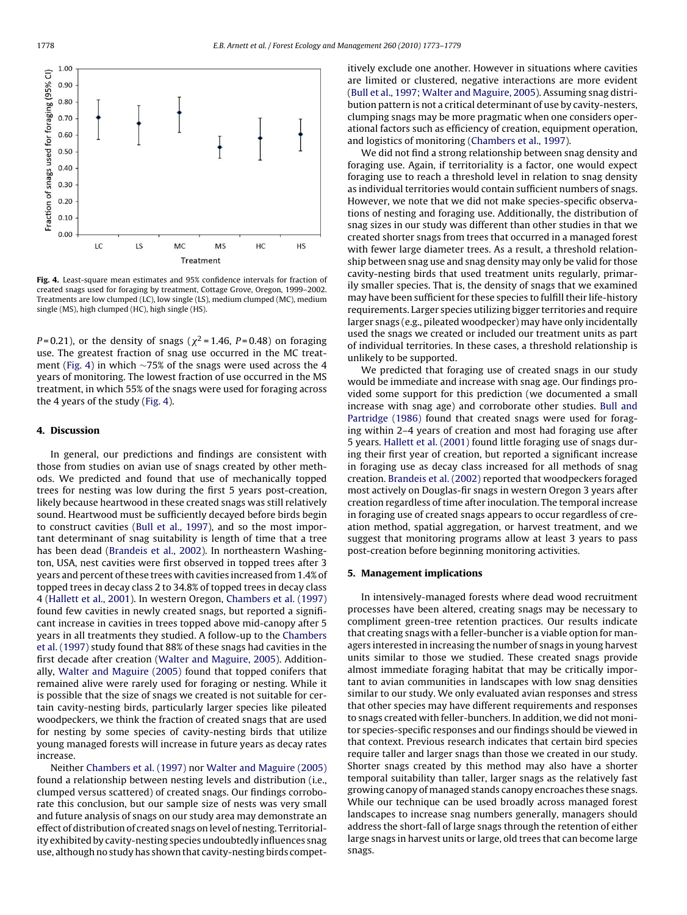

**Fig. 4.** Least-square mean estimates and 95% confidence intervals for fraction of created snags used for foraging by treatment, Cottage Grove, Oregon, 1999–2002. Treatments are low clumped (LC), low single (LS), medium clumped (MC), medium single (MS), high clumped (HC), high single (HS).

P=0.21), or the density of snags ( $\chi^2$ =1.46, P=0.48) on foraging use. The greatest fraction of snag use occurred in the MC treatment (Fig. 4) in which ∼75% of the snags were used across the 4 years of monitoring. The lowest fraction of use occurred in the MS treatment, in which 55% of the snags were used for foraging across the 4 years of the study (Fig. 4).

#### **4. Discussion**

In general, our predictions and findings are consistent with those from studies on avian use of snags created by other methods. We predicted and found that use of mechanically topped trees for nesting was low during the first 5 years post-creation, likely because heartwood in these created snags was still relatively sound. Heartwood must be sufficiently decayed before birds begin to construct cavities ([Bull et al., 1997\),](#page-6-0) and so the most important determinant of snag suitability is length of time that a tree has been dead ([Brandeis et al., 2002\).](#page-6-0) In northeastern Washington, USA, nest cavities were first observed in topped trees after 3 years and percent of these trees with cavities increased from 1.4% of topped trees in decay class 2 to 34.8% of topped trees in decay class 4 [\(Hallett et al., 2001\).](#page-6-0) In western Oregon, [Chambers et al. \(1997\)](#page-6-0) found few cavities in newly created snags, but reported a significant increase in cavities in trees topped above mid-canopy after 5 years in all treatments they studied. A follow-up to the [Chambers](#page-6-0) [et al. \(1997\)](#page-6-0) study found that 88% of these snags had cavities in the first decade after creation [\(Walter and Maguire, 2005\).](#page-6-0) Additionally, [Walter and Maguire \(2005\)](#page-6-0) found that topped conifers that remained alive were rarely used for foraging or nesting. While it is possible that the size of snags we created is not suitable for certain cavity-nesting birds, particularly larger species like pileated woodpeckers, we think the fraction of created snags that are used for nesting by some species of cavity-nesting birds that utilize young managed forests will increase in future years as decay rates increase.

Neither [Chambers et al. \(1997\)](#page-6-0) nor [Walter and Maguire \(2005\)](#page-6-0) found a relationship between nesting levels and distribution (i.e., clumped versus scattered) of created snags. Our findings corroborate this conclusion, but our sample size of nests was very small and future analysis of snags on our study area may demonstrate an effect of distribution of created snags on level of nesting. Territoriality exhibited by cavity-nesting species undoubtedly influences snag use, although no study has shown that cavity-nesting birds competitively exclude one another. However in situations where cavities are limited or clustered, negative interactions are more evident [\(Bull et al., 1997; Walter and Maguire, 2005\).](#page-6-0) Assuming snag distribution pattern is not a critical determinant of use by cavity-nesters, clumping snags may be more pragmatic when one considers operational factors such as efficiency of creation, equipment operation, and logistics of monitoring ([Chambers et al., 1997\).](#page-6-0)

We did not find a strong relationship between snag density and foraging use. Again, if territoriality is a factor, one would expect foraging use to reach a threshold level in relation to snag density as individual territories would contain sufficient numbers of snags. However, we note that we did not make species-specific observations of nesting and foraging use. Additionally, the distribution of snag sizes in our study was different than other studies in that we created shorter snags from trees that occurred in a managed forest with fewer large diameter trees. As a result, a threshold relationship between snag use and snag density may only be valid for those cavity-nesting birds that used treatment units regularly, primarily smaller species. That is, the density of snags that we examined may have been sufficient for these species to fulfill their life-history requirements. Larger species utilizing bigger territories and require larger snags (e.g., pileated woodpecker) may have only incidentally used the snags we created or included our treatment units as part of individual territories. In these cases, a threshold relationship is unlikely to be supported.

We predicted that foraging use of created snags in our study would be immediate and increase with snag age. Our findings provided some support for this prediction (we documented a small increase with snag age) and corroborate other studies. [Bull and](#page-6-0) [Partridge \(1986\)](#page-6-0) found that created snags were used for foraging within 2–4 years of creation and most had foraging use after 5 years. [Hallett et al. \(2001\)](#page-6-0) found little foraging use of snags during their first year of creation, but reported a significant increase in foraging use as decay class increased for all methods of snag creation. [Brandeis et al. \(2002\)](#page-6-0) reported that woodpeckers foraged most actively on Douglas-fir snags in western Oregon 3 years after creation regardless of time after inoculation. The temporal increase in foraging use of created snags appears to occur regardless of creation method, spatial aggregation, or harvest treatment, and we suggest that monitoring programs allow at least 3 years to pass post-creation before beginning monitoring activities.

## **5. Management implications**

In intensively-managed forests where dead wood recruitment processes have been altered, creating snags may be necessary to compliment green-tree retention practices. Our results indicate that creating snags with a feller-buncher is a viable option for managers interested in increasing the number of snags in young harvest units similar to those we studied. These created snags provide almost immediate foraging habitat that may be critically important to avian communities in landscapes with low snag densities similar to our study. We only evaluated avian responses and stress that other species may have different requirements and responses to snags created with feller-bunchers. In addition, we did not monitor species-specific responses and our findings should be viewed in that context. Previous research indicates that certain bird species require taller and larger snags than those we created in our study. Shorter snags created by this method may also have a shorter temporal suitability than taller, larger snags as the relatively fast growing canopy of managed stands canopy encroaches these snags. While our technique can be used broadly across managed forest landscapes to increase snag numbers generally, managers should address the short-fall of large snags through the retention of either large snags in harvest units or large, old trees that can become large snags.